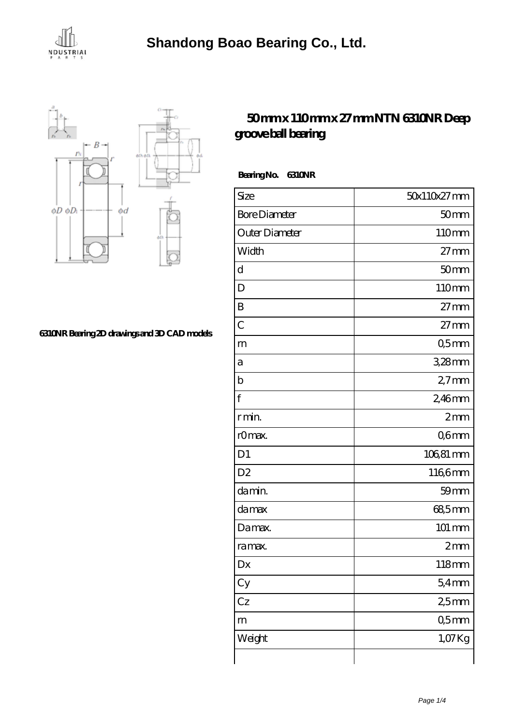



## **[6310NR Bearing 2D drawings and 3D CAD models](https://m.agencepheniciavar.com/pic-65079625.html)**

## **[50 mm x 110 mm x 27 mm NTN 6310NR Deep](https://m.agencepheniciavar.com/ai-65079625-ntn-6310nr-deep-groove-ball-bearing.html) [groove ball bearing](https://m.agencepheniciavar.com/ai-65079625-ntn-6310nr-deep-groove-ball-bearing.html)**

 **Bearing No. 6310NR**

| Size                 | 50x110x27mm      |
|----------------------|------------------|
| <b>Bore Diameter</b> | 50 <sub>mm</sub> |
| Outer Diameter       | 110mm            |
| Width                | $27$ mm          |
| d                    | 50 <sub>mm</sub> |
| D                    | 110mm            |
| B                    | $27 \text{mm}$   |
| $\overline{C}$       | $27$ mm          |
| m                    | Q5mm             |
| а                    | 3,28mm           |
| $\mathbf b$          | $27$ mm          |
| f                    | 2,46mm           |
| r min.               | 2mm              |
| r0max.               | Q6mm             |
| D1                   | 106,81 mm        |
| D <sub>2</sub>       | 1166mm           |
| da min.              | 59 <sub>mm</sub> |
| damax                | 68,5mm           |
| Damax.               | 101 mm           |
| ra max.              | 2mm              |
| Dx                   | 118mm            |
| Cy                   | 54mm             |
| Cz                   | 25mm             |
| m                    | 05 <sub>mm</sub> |
| Weight               | 1,07Kg           |
|                      |                  |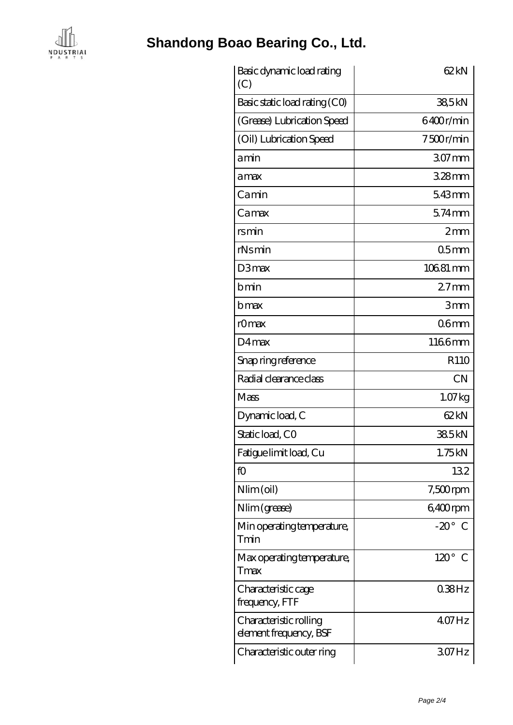

## **[Shandong Boao Bearing Co., Ltd.](https://m.agencepheniciavar.com)**

| Basic dynamic load rating<br>(C)                 | 62kN                        |
|--------------------------------------------------|-----------------------------|
| Basic static load rating (CO)                    | 38,5kN                      |
| (Grease) Lubrication Speed                       | 6400r/min                   |
| (Oil) Lubrication Speed                          | 7500r/min                   |
| amin                                             | 307mm                       |
| amax                                             | $328$ mm                    |
| Camin                                            | 543mm                       |
| Camax                                            | $574$ mm                    |
| rsmin                                            | 2mm                         |
| $rN$ s min                                       | 05 <sub>mm</sub>            |
| D3max                                            | 10681 mm                    |
| bmin                                             | $27$ mm                     |
| bmax                                             | 3mm                         |
| rOmax                                            | 06 <sub>mm</sub>            |
| D4max                                            | 1166mm                      |
| Snap ring reference                              | R110                        |
| Radial clearance class                           | CN                          |
| Mass                                             | 1.07kg                      |
| Dynamic load, C                                  | 62kN                        |
| Static load, CO                                  | 385kN                       |
| Fatigue limit load, Cu                           | 1.75kN                      |
| fO                                               | 132                         |
| Nlim (oil)                                       | $7,500$ rpm                 |
| Nlim (grease)                                    | 6,400rpm                    |
| Min operating temperature,<br>Tmin               | $-20^\circ$ C               |
| Max operating temperature,<br>Tmax               | $120^\circ$<br>$\mathcal C$ |
| Characteristic cage<br>frequency, FTF            | $038$ Hz                    |
| Characteristic rolling<br>element frequency, BSF | $407$ Hz                    |
| Characteristic outer ring                        | 307Hz                       |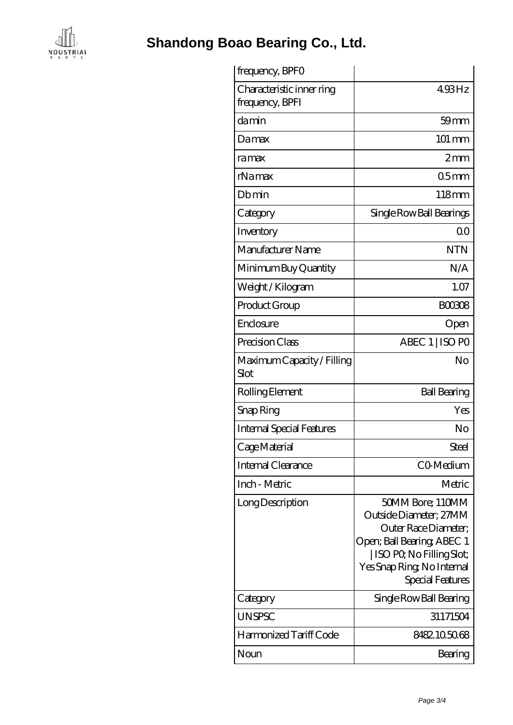

**[Shandong Boao Bearing Co., Ltd.](https://m.agencepheniciavar.com)**

| frequency, BPFO                              |                                                                                                                                                                                  |
|----------------------------------------------|----------------------------------------------------------------------------------------------------------------------------------------------------------------------------------|
| Characteristic inner ring<br>frequency, BPFI | 493Hz                                                                                                                                                                            |
| damin                                        | $59 \text{mm}$                                                                                                                                                                   |
| Damax                                        | 101 mm                                                                                                                                                                           |
| ramax                                        | 2mm                                                                                                                                                                              |
| rNamax                                       | 05 <sub>mm</sub>                                                                                                                                                                 |
| Dbmin                                        | 118mm                                                                                                                                                                            |
| Category                                     | Single Row Ball Bearings                                                                                                                                                         |
| Inventory                                    | 0 <sup>0</sup>                                                                                                                                                                   |
| Manufacturer Name                            | <b>NTN</b>                                                                                                                                                                       |
| Minimum Buy Quantity                         | N/A                                                                                                                                                                              |
| Weight/Kilogram                              | 1.07                                                                                                                                                                             |
| Product Group                                | <b>BOO308</b>                                                                                                                                                                    |
| Enclosure                                    | Open                                                                                                                                                                             |
| Precision Class                              | ABEC 1   ISO PO                                                                                                                                                                  |
| Maximum Capacity / Filling<br>Slot           | No                                                                                                                                                                               |
| Rolling Element                              | <b>Ball Bearing</b>                                                                                                                                                              |
| Snap Ring                                    | Yes                                                                                                                                                                              |
| <b>Internal Special Features</b>             | No                                                                                                                                                                               |
| Cage Material                                | Steel                                                                                                                                                                            |
| Internal Clearance                           | CO-Medium                                                                                                                                                                        |
| Inch - Metric                                | Metric                                                                                                                                                                           |
| Long Description                             | 50MM Bore; 110MM<br>Outside Diameter; 27MM<br>Outer Race Diameter;<br>Open; Ball Bearing; ABEC 1<br>  ISO PO, No Filling Slot;<br>Yes Snap Ring, No Internal<br>Special Features |
| Category                                     | Single Row Ball Bearing                                                                                                                                                          |
| <b>UNSPSC</b>                                | 31171504                                                                                                                                                                         |
| Harmonized Tariff Code                       | 8482105068                                                                                                                                                                       |
| Noun                                         | Bearing                                                                                                                                                                          |